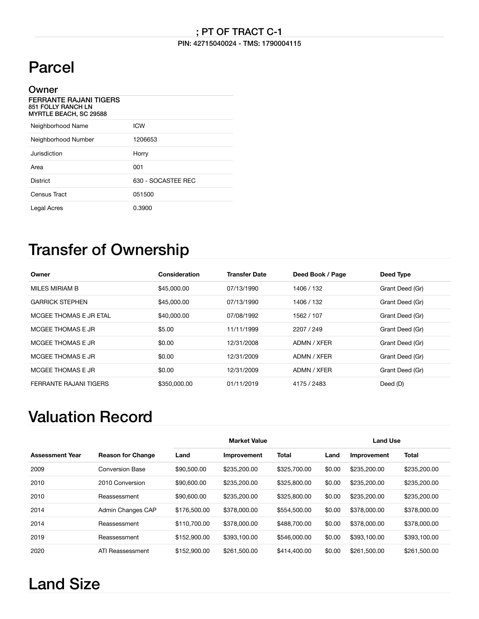#### PIN: 42715040024 - TMS: 1790004115

## Parcel

| Owner                                                                                |                    |
|--------------------------------------------------------------------------------------|--------------------|
| <b>FERRANTE RAJANI TIGERS</b><br><b>851 FOLLY RANCH LN</b><br>MYRTLE BEACH, SC 29588 |                    |
| Neighborhood Name                                                                    | <b>ICW</b>         |
| Neighborhood Number                                                                  | 1206653            |
| Jurisdiction                                                                         | Horry              |
| Area                                                                                 | 001                |
| <b>District</b>                                                                      | 630 - SOCASTEE REC |
| Census Tract                                                                         | 051500             |
| Legal Acres                                                                          | 0.3900             |

#### Transfer of Ownership

| Owner                  | Consideration | <b>Transfer Date</b> | Deed Book / Page | Deed Type       |
|------------------------|---------------|----------------------|------------------|-----------------|
| MILES MIRIAM B         | \$45,000.00   | 07/13/1990           | 1406 / 132       | Grant Deed (Gr) |
| <b>GARRICK STEPHEN</b> | \$45,000.00   | 07/13/1990           | 1406 / 132       | Grant Deed (Gr) |
| MCGEE THOMAS E JR ETAL | \$40,000,00   | 07/08/1992           | 1562 / 107       | Grant Deed (Gr) |
| MCGEE THOMAS E JR      | \$5.00        | 11/11/1999           | 2207 / 249       | Grant Deed (Gr) |
| MCGFF THOMAS F JR      | \$0.00        | 12/31/2008           | ADMN / XFER      | Grant Deed (Gr) |
| MCGFF THOMAS F JR      | \$0.00        | 12/31/2009           | ADMN / XFER      | Grant Deed (Gr) |
| MCGEE THOMAS E JR      | \$0.00        | 12/31/2009           | ADMN / XFER      | Grant Deed (Gr) |
| FERRANTE RAJANI TIGERS | \$350,000.00  | 01/11/2019           | 4175 / 2483      | Deed (D)        |

### Valuation Record

|                        |                          | <b>Market Value</b> |              |              | <b>Land Use</b> |              |              |
|------------------------|--------------------------|---------------------|--------------|--------------|-----------------|--------------|--------------|
| <b>Assessment Year</b> | <b>Reason for Change</b> | Land                | Improvement  | <b>Total</b> | Land            | Improvement  | <b>Total</b> |
| 2009                   | <b>Conversion Base</b>   | \$90,500,00         | \$235,200.00 | \$325,700.00 | \$0.00          | \$235,200.00 | \$235,200,00 |
| 2010                   | 2010 Conversion          | \$90,600,00         | \$235,200.00 | \$325,800.00 | \$0.00          | \$235,200,00 | \$235,200,00 |
| 2010                   | Reassessment             | \$90,600,00         | \$235,200.00 | \$325,800.00 | \$0.00          | \$235,200.00 | \$235,200,00 |
| 2014                   | Admin Changes CAP        | \$176,500.00        | \$378,000.00 | \$554,500.00 | \$0.00          | \$378,000.00 | \$378,000,00 |
| 2014                   | Reassessment             | \$110,700.00        | \$378,000.00 | \$488,700.00 | \$0.00          | \$378,000.00 | \$378,000,00 |
| 2019                   | Reassessment             | \$152,900.00        | \$393,100.00 | \$546,000.00 | \$0.00          | \$393.100.00 | \$393,100.00 |
| 2020                   | ATI Reassessment         | \$152,900.00        | \$261,500.00 | \$414,400.00 | \$0.00          | \$261,500.00 | \$261,500.00 |

## Land Size